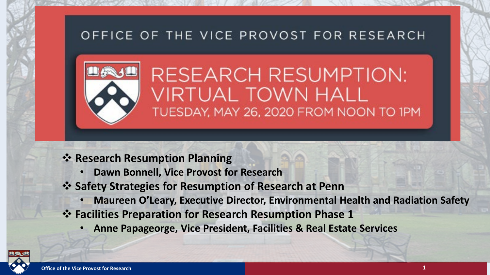### OFFICE OF THE VICE PROVOST FOR RESEARCH



**RESEARCH RESUMPTION: VIRTUAL TOWN HALL** TUESDAY, MAY 26, 2020 FROM NOON TO 1PM

### *<b>❖ Research Resumption Planning*

- **Dawn Bonnell, Vice Provost for Research**
- **Safety Strategies for Resumption of Research at Penn**
	- **Maureen O'Leary, Executive Director, Environmental Health and Radiation Safety**
- **Facilities Preparation for Research Resumption Phase 1**
	- **Anne Papageorge, Vice President, Facilities & Real Estate Services**

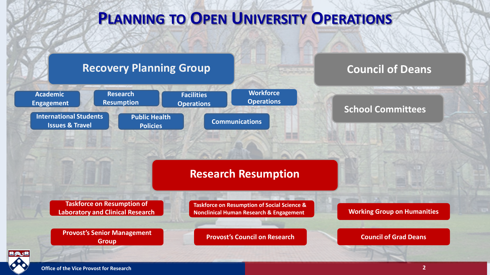### **PLANNING TO OPEN UNIVERSITY OPERATIONS**

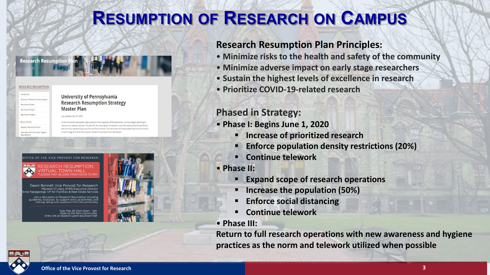## **RESUMPTION OF RESEARCH ON CAMPUS**

**Research Resumption** 

#### RESOURCE RESUMPTION Overview of Resea **Resumption Phas** Resumption Phase Resumption Phase **RESOURCES** Research Resumption Plan Meeting Social Distancing & Hygien

#### **University of Pennsylvania Research Resumption Strategy Master Plan**

Last updated: May 13, 2020

As the University anticipates improvement in the trajectory of the pandemic, we have begun planning to resume our research activity. The plan for the resumption of research was informed by several task forces and councils, representing input from all Penn schools. The document and associated resources will evolve as technology and tools that support research resumption are develop

#### OF THE VICE PROVOST FOR RESEARCH



**RESEARCH RESUMPTION:** 'IRTUAL TOWN HALL

Dawn Bonnell, Vice Provost for Research Maureen O'Leary, EHRS Executive Director Papageorge, VP for Facilities & Real Estate Services

oin a discussion on Research Resumption including lines, resources to support ramp up activities, and training, along with questions from the community

> Tues, May 26 from Noon - 1pm Open to the Penn Community at research unenn edu/town-ha



#### **Research Resumption Plan Principles:**

- **Minimize risks to the health and safety of the community**
- **Minimize adverse impact on early stage researchers**
- **Sustain the highest levels of excellence in research**
- **Prioritize COVID-19-related research**

### **Phased in Strategy:**

- **Phase I: Begins June 1, 2020**
	- **Increase of prioritized research**
	- **Enforce population density restrictions (20%)**
	- **Continue telework**
- **Phase II:**
	- **Expand scope of research operations**
	- **Increase the population (50%)**
	- **Enforce social distancing**
	- **Continue telework**
- **Phase III:**

**Return to full research operations with new awareness and hygiene practices as the norm and telework utilized when possible** 

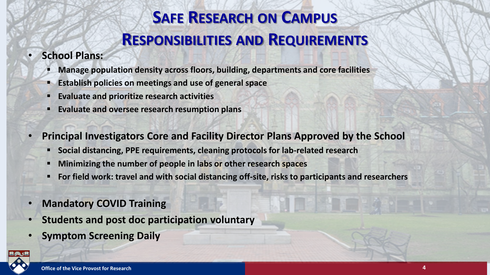# **SAFE RESEARCH ON CAMPUS RESPONSIBILITIES AND REQUIREMENTS**

### • **School Plans:**

- **Manage population density across floors, building, departments and core facilities**
- **Establish policies on meetings and use of general space**
- **Evaluate and prioritize research activities**
- **Evaluate and oversee research resumption plans**
- **Principal Investigators Core and Facility Director Plans Approved by the School**
	- **Social distancing, PPE requirements, cleaning protocols for lab-related research**
	- **Minimizing the number of people in labs or other research spaces**
	- **For field work: travel and with social distancing off-site, risks to participants and researchers**
- **Mandatory COVID Training** 
	- **Students and post doc participation voluntary**
	- **Symptom Screening Daily**

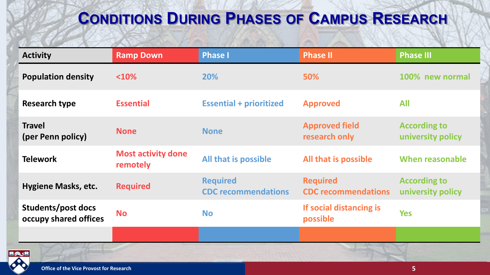## **CONDITIONS DURING PHASES OF CAMPUS RESEARCH**

| <b>Activity</b>                             | <b>Ramp Down</b>                      | <b>Phase I</b>                                | <b>Phase II</b>                               | <b>Phase III</b>                         |
|---------------------------------------------|---------------------------------------|-----------------------------------------------|-----------------------------------------------|------------------------------------------|
| <b>Population density</b>                   | < 10%                                 | 20%                                           | 50%                                           | 100% new normal                          |
| <b>Research type</b>                        | <b>Essential</b>                      | <b>Essential + prioritized</b>                | <b>Approved</b>                               | <b>All</b>                               |
| <b>Travel</b><br>(per Penn policy)          | <b>None</b>                           | <b>None</b>                                   | <b>Approved field</b><br>research only        | <b>According to</b><br>university policy |
| <b>Telework</b>                             | <b>Most activity done</b><br>remotely | All that is possible                          | All that is possible                          | When reasonable                          |
| <b>Hygiene Masks, etc.</b>                  | <b>Required</b>                       | <b>Required</b><br><b>CDC</b> recommendations | <b>Required</b><br><b>CDC</b> recommendations | <b>According to</b><br>university policy |
| Students/post docs<br>occupy shared offices | <b>No</b>                             | <b>No</b>                                     | If social distancing is<br>possible           | <b>Yes</b>                               |
|                                             |                                       |                                               |                                               |                                          |

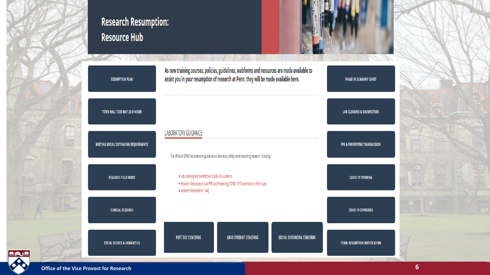

### **Research Resumption: Resource Hub**



| <b>RESUMPTION PLAN</b>                 | As new training courses, policies, guidelines, webforms and resources are made available to<br>assist you in your resumption of research at Penn, they will be made available here. | PHASE IN SUMMARY CHART                   |
|----------------------------------------|-------------------------------------------------------------------------------------------------------------------------------------------------------------------------------------|------------------------------------------|
| TOWN HALL TUES MAY 26 @ NOON           |                                                                                                                                                                                     | <b>LAB CLEANING &amp; DISINFECTION</b>   |
| MEETING SOCIAL DISTANCING REQUIREMENTS | <b>LABORATORY GUIDANCE</b><br>The office of EHRS has extensive guidance on laboratory safety while resuming research including:                                                     | <b>PPE &amp; PREVENTING TRANSMISSION</b> |
| <b>RESEARCH FIELD WORK</b>             | . Lab Cleaning and Disinfection COVID-19 Guidance<br>. Research Resumption: Lab PPE and Preventing COVID-19 Transmission in Penn Labs<br>· Research Resumption: FAQ                 | <b>COVID-19 TRAINING</b>                 |
| <b>CLINICAL RESEARCH</b>               |                                                                                                                                                                                     | <b>COVID-19 EXPOSURES</b>                |
| <b>SOCIAL SCIENCE &amp; HUMANITIES</b> | <b>POST DOC CONCERNS</b><br><b>GRAD STUDENT CONCERNS</b><br>SOCIAL DISTANCING CONCERNS                                                                                              | <b>FORM: RESUMPTION NOTIFICATION</b>     |